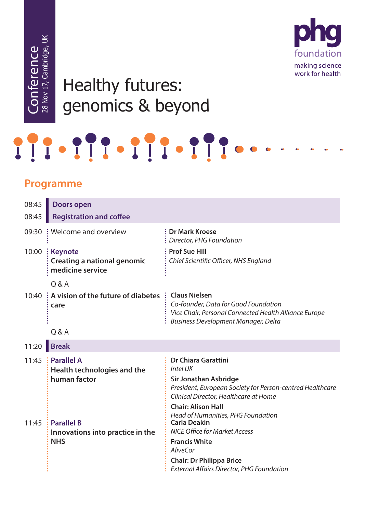foundation making science work for health

## Healthy futures: genomics & beyond

## **Programme**<br>
Programme<br>
Programme<br>
Programme<br>
Programme<br>
Programme<br>
Programme<br>
Programme<br>
Programme<br>
Programme<br>
Programme<br>
Programme<br>
Programme<br>
Programme<br>
Programme<br>
Programme<br>
Programme<br>
Programme<br>
Programme<br>
Programme<br>

| 08:45 | <b>Doors open</b>                                                          |                                                                                                                                                                                                                                                                  |
|-------|----------------------------------------------------------------------------|------------------------------------------------------------------------------------------------------------------------------------------------------------------------------------------------------------------------------------------------------------------|
| 08:45 | <b>Registration and coffee</b>                                             |                                                                                                                                                                                                                                                                  |
| 09:30 | : Welcome and overview                                                     | <b>Dr Mark Kroese</b><br>Director, PHG Foundation                                                                                                                                                                                                                |
| 10:00 | : Keynote<br><b>Creating a national genomic</b><br>medicine service        | <b>Prof Sue Hill</b><br>Chief Scientific Officer, NHS England                                                                                                                                                                                                    |
|       | Q & A                                                                      |                                                                                                                                                                                                                                                                  |
|       | 10:40 : A vision of the future of diabetes : Claus Nielsen<br>care         | Co-founder, Data for Good Foundation<br>Vice Chair, Personal Connected Health Alliance Europe<br><b>Business Development Manager, Delta</b>                                                                                                                      |
|       | Q & A                                                                      |                                                                                                                                                                                                                                                                  |
| 11:20 | <b>Break</b>                                                               |                                                                                                                                                                                                                                                                  |
| 11:45 | $\therefore$ Parallel A<br>Health technologies and the<br>human factor     | <b>Dr Chiara Garattini</b><br>Intel UK<br><b>Sir Jonathan Asbridge</b><br>President, European Society for Person-centred Healthcare<br>Clinical Director, Healthcare at Home                                                                                     |
| 11:45 | $\frac{1}{2}$ Parallel B<br>Innovations into practice in the<br><b>NHS</b> | <b>Chair: Alison Hall</b><br>Head of Humanities, PHG Foundation<br><b>Carla Deakin</b><br><b>NICE Office for Market Access</b><br><b>Francis White</b><br><b>AliveCor</b><br><b>Chair: Dr Philippa Brice</b><br><b>External Affairs Director, PHG Foundation</b> |